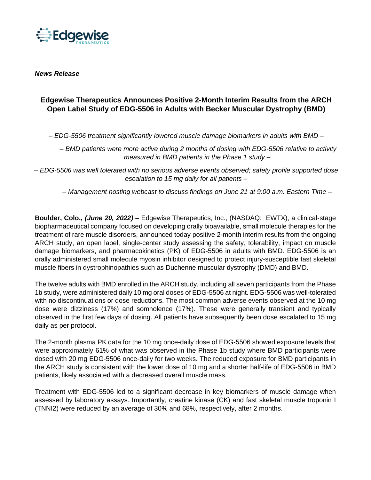

# **Edgewise Therapeutics Announces Positive 2-Month Interim Results from the ARCH Open Label Study of EDG-5506 in Adults with Becker Muscular Dystrophy (BMD)**

*– EDG-5506 treatment significantly lowered muscle damage biomarkers in adults with BMD –*

*– BMD patients were more active during 2 months of dosing with EDG-5506 relative to activity measured in BMD patients in the Phase 1 study –*

*– EDG-5506 was well tolerated with no serious adverse events observed; safety profile supported dose escalation to 15 mg daily for all patients –*

*– Management hosting webcast to discuss findings on June 21 at 9:00 a.m. Eastern Time –*

**Boulder, Colo.,** *(June 20, 2022)* **–** Edgewise Therapeutics, Inc., (NASDAQ: EWTX), a clinical-stage biopharmaceutical company focused on developing orally bioavailable, small molecule therapies for the treatment of rare muscle disorders, announced today positive 2-month interim results from the ongoing ARCH study, an open label, single-center study assessing the safety, tolerability, impact on muscle damage biomarkers, and pharmacokinetics (PK) of EDG-5506 in adults with BMD. EDG-5506 is an orally administered small molecule myosin inhibitor designed to protect injury-susceptible fast skeletal muscle fibers in dystrophinopathies such as Duchenne muscular dystrophy (DMD) and BMD.

The twelve adults with BMD enrolled in the ARCH study, including all seven participants from the Phase 1b study, were administered daily 10 mg oral doses of EDG-5506 at night. EDG-5506 was well-tolerated with no discontinuations or dose reductions. The most common adverse events observed at the 10 mg dose were dizziness (17%) and somnolence (17%). These were generally transient and typically observed in the first few days of dosing. All patients have subsequently been dose escalated to 15 mg daily as per protocol.

The 2-month plasma PK data for the 10 mg once-daily dose of EDG-5506 showed exposure levels that were approximately 61% of what was observed in the Phase 1b study where BMD participants were dosed with 20 mg EDG-5506 once-daily for two weeks. The reduced exposure for BMD participants in the ARCH study is consistent with the lower dose of 10 mg and a shorter half-life of EDG-5506 in BMD patients, likely associated with a decreased overall muscle mass.

Treatment with EDG-5506 led to a significant decrease in key biomarkers of muscle damage when assessed by laboratory assays. Importantly, creatine kinase (CK) and fast skeletal muscle troponin I (TNNI2) were reduced by an average of 30% and 68%, respectively, after 2 months.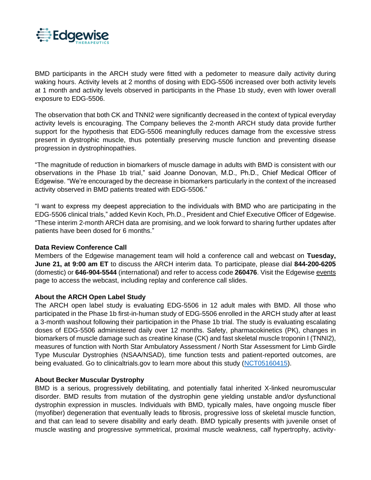

BMD participants in the ARCH study were fitted with a pedometer to measure daily activity during waking hours. Activity levels at 2 months of dosing with EDG-5506 increased over both activity levels at 1 month and activity levels observed in participants in the Phase 1b study, even with lower overall exposure to EDG-5506.

The observation that both CK and TNNI2 were significantly decreased in the context of typical everyday activity levels is encouraging. The Company believes the 2-month ARCH study data provide further support for the hypothesis that EDG-5506 meaningfully reduces damage from the excessive stress present in dystrophic muscle, thus potentially preserving muscle function and preventing disease progression in dystrophinopathies.

"The magnitude of reduction in biomarkers of muscle damage in adults with BMD is consistent with our observations in the Phase 1b trial," said Joanne Donovan, M.D., Ph.D., Chief Medical Officer of Edgewise. "We're encouraged by the decrease in biomarkers particularly in the context of the increased activity observed in BMD patients treated with EDG-5506."

"I want to express my deepest appreciation to the individuals with BMD who are participating in the EDG-5506 clinical trials," added Kevin Koch, Ph.D., President and Chief Executive Officer of Edgewise. "These interim 2-month ARCH data are promising, and we look forward to sharing further updates after patients have been dosed for 6 months."

## **Data Review Conference Call**

Members of the Edgewise management team will hold a conference call and webcast on **Tuesday, June 21, at 9:00 am ET** to discuss the ARCH interim data. To participate, please dial **844-200-6205** (domestic) or **646-904-5544** (international) and refer to access code **260476**. Visit the Edgewise [events](https://investors.edgewisetx.com/events-and-presentations/default.aspx) page to access the webcast, including replay and conference call slides.

## **About the ARCH Open Label Study**

The ARCH open label study is evaluating EDG-5506 in 12 adult males with BMD. All those who participated in the Phase 1b first-in-human study of EDG-5506 enrolled in the ARCH study after at least a 3-month washout following their participation in the Phase 1b trial. The study is evaluating escalating doses of EDG-5506 administered daily over 12 months. Safety, pharmacokinetics (PK), changes in biomarkers of muscle damage such as creatine kinase (CK) and fast skeletal muscle troponin I (TNNI2), measures of function with North Star Ambulatory Assessment / North Star Assessment for Limb Girdle Type Muscular Dystrophies (NSAA/NSAD), time function tests and patient-reported outcomes, are being evaluated. Go to clinicaltrials.gov to learn more about this study [\(NCT05160415\)](https://clinicaltrials.gov/ct2/show/NCT05160415?term=NCT05160415&draw=2&rank=1).

### **About Becker Muscular Dystrophy**

BMD is a serious, progressively debilitating, and potentially fatal inherited X-linked neuromuscular disorder. BMD results from mutation of the dystrophin gene yielding unstable and/or dysfunctional dystrophin expression in muscles. Individuals with BMD, typically males, have ongoing muscle fiber (myofiber) degeneration that eventually leads to fibrosis, progressive loss of skeletal muscle function, and that can lead to severe disability and early death. BMD typically presents with juvenile onset of muscle wasting and progressive symmetrical, proximal muscle weakness, calf hypertrophy, activity-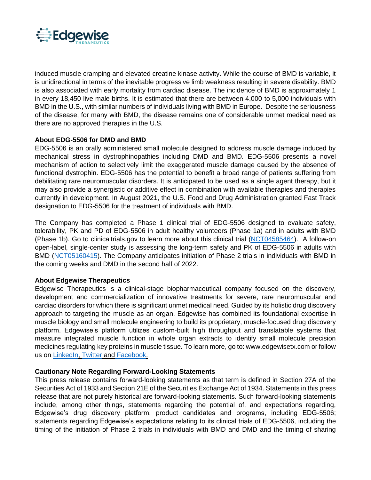

induced muscle cramping and elevated creatine kinase activity. While the course of BMD is variable, it is unidirectional in terms of the inevitable progressive limb weakness resulting in severe disability. BMD is also associated with early mortality from cardiac disease. The incidence of BMD is approximately 1 in every 18,450 live male births. It is estimated that there are between 4,000 to 5,000 individuals with BMD in the U.S., with similar numbers of individuals living with BMD in Europe. Despite the seriousness of the disease, for many with BMD, the disease remains one of considerable unmet medical need as there are no approved therapies in the U.S.

## **About EDG-5506 for DMD and BMD**

EDG-5506 is an orally administered small molecule designed to address muscle damage induced by mechanical stress in dystrophinopathies including DMD and BMD. EDG-5506 presents a novel mechanism of action to selectively limit the exaggerated muscle damage caused by the absence of functional dystrophin. EDG-5506 has the potential to benefit a broad range of patients suffering from debilitating rare neuromuscular disorders. It is anticipated to be used as a single agent therapy, but it may also provide a synergistic or additive effect in combination with available therapies and therapies currently in development. In August 2021, the U.S. Food and Drug Administration granted Fast Track designation to EDG-5506 for the treatment of individuals with BMD.

The Company has completed a Phase 1 clinical trial of EDG-5506 designed to evaluate safety, tolerability, PK and PD of EDG-5506 in adult healthy volunteers (Phase 1a) and in adults with BMD (Phase 1b). Go to clinicaltrials.gov to learn more about this clinical trial [\(NCT04585464\)](http://www.clinicaltrials.gov/ct2/show/NCT04585464). A follow-on open-label, single-center study is assessing the long-term safety and PK of EDG-5506 in adults with BMD [\(NCT05160415\)](https://clinicaltrials.gov/ct2/show/NCT05160415?term=NCT05160415&draw=2&rank=1). The Company anticipates initiation of Phase 2 trials in individuals with BMD in the coming weeks and DMD in the second half of 2022.

## **About Edgewise Therapeutics**

Edgewise Therapeutics is a clinical-stage biopharmaceutical company focused on the discovery, development and commercialization of innovative treatments for severe, rare neuromuscular and cardiac disorders for which there is significant unmet medical need. Guided by its holistic drug discovery approach to targeting the muscle as an organ, Edgewise has combined its foundational expertise in muscle biology and small molecule engineering to build its proprietary, muscle-focused drug discovery platform. Edgewise's platform utilizes custom-built high throughput and translatable systems that measure integrated muscle function in whole organ extracts to identify small molecule precision medicines regulating key proteins in muscle tissue. To learn more, go to: www.edgewisetx.com or follow us on [LinkedIn,](http://www.linkedin.com/company/edgewisetx) [Twitter](https://twitter.com/EdgewiseTx) and [Facebook.](https://www.facebook.com/Edgewisetx)

## **Cautionary Note Regarding Forward-Looking Statements**

This press release contains forward-looking statements as that term is defined in Section 27A of the Securities Act of 1933 and Section 21E of the Securities Exchange Act of 1934. Statements in this press release that are not purely historical are forward-looking statements. Such forward-looking statements include, among other things, statements regarding the potential of, and expectations regarding, Edgewise's drug discovery platform, product candidates and programs, including EDG-5506; statements regarding Edgewise's expectations relating to its clinical trials of EDG-5506, including the timing of the initiation of Phase 2 trials in individuals with BMD and DMD and the timing of sharing